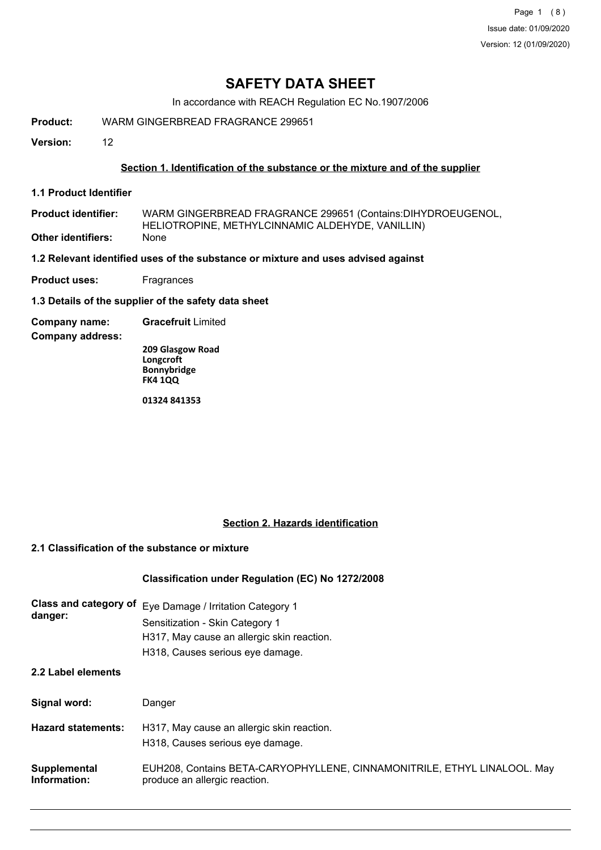Page 1 (8) Issue date: 01/09/2020 Version: 12 (01/09/2020)

# **SAFETY DATA SHEET**

In accordance with REACH Regulation EC No.1907/2006

**Product:** WARM GINGERBREAD FRAGRANCE 299651

**Version:** 12

#### **Section 1. Identification of the substance or the mixture and of the supplier**

**1.1 Product Identifier**

| <b>Product identifier:</b> | WARM GINGERBREAD FRAGRANCE 299651 (Contains:DIHYDROEUGENOL, |
|----------------------------|-------------------------------------------------------------|
|                            | HELIOTROPINE, METHYLCINNAMIC ALDEHYDE, VANILLIN)            |
| Other identifiers:         | None                                                        |

**1.2 Relevant identified uses of the substance or mixture and uses advised against**

- **Product uses:** Fragrances
- **1.3 Details of the supplier of the safety data sheet**
- **Company name: Gracefruit** Limited

**Company address:**

**209 Glasgow Road Longcroft Bonnybridge FK4 1QQ**

**01324 841353**

#### **Section 2. Hazards identification**

### **2.1 Classification of the substance or mixture**

#### **Classification under Regulation (EC) No 1272/2008**

| <b>Class and category of</b><br>danger: | Eye Damage / Irritation Category 1<br>Sensitization - Skin Category 1<br>H317, May cause an allergic skin reaction.<br>H318, Causes serious eye damage. |
|-----------------------------------------|---------------------------------------------------------------------------------------------------------------------------------------------------------|
| 2.2 Label elements                      |                                                                                                                                                         |
| Signal word:                            | Danger                                                                                                                                                  |
| <b>Hazard statements:</b>               | H317, May cause an allergic skin reaction.<br>H318, Causes serious eye damage.                                                                          |
| Supplemental<br>Information:            | EUH208, Contains BETA-CARYOPHYLLENE, CINNAMONITRILE, ETHYL LINALOOL. May<br>produce an allergic reaction.                                               |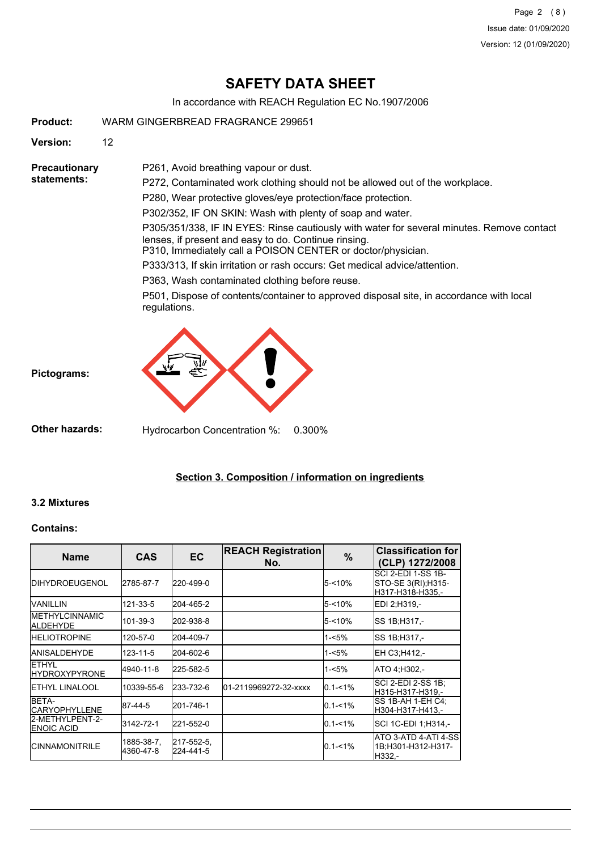Page 2 (8) Issue date: 01/09/2020 Version: 12 (01/09/2020)

# **SAFETY DATA SHEET**

In accordance with REACH Regulation EC No.1907/2006

**Product:** WARM GINGERBREAD FRAGRANCE 299651

**Version:** 12

**Precautionary statements:**

P272, Contaminated work clothing should not be allowed out of the workplace.

P280, Wear protective gloves/eye protection/face protection.

P302/352, IF ON SKIN: Wash with plenty of soap and water.

P305/351/338, IF IN EYES: Rinse cautiously with water for several minutes. Remove contact lenses, if present and easy to do. Continue rinsing.

P310, Immediately call a POISON CENTER or doctor/physician.

P333/313, If skin irritation or rash occurs: Get medical advice/attention.

P363, Wash contaminated clothing before reuse.

P261, Avoid breathing vapour or dust.

P501, Dispose of contents/container to approved disposal site, in accordance with local regulations.



### **Section 3. Composition / information on ingredients**

# **3.2 Mixtures**

### **Contains:**

| <b>Name</b>                           | <b>CAS</b>              | <b>EC</b>               | <b>REACH Registration</b><br>No. | $\%$        | <b>Classification for</b><br>(CLP) 1272/2008                  |
|---------------------------------------|-------------------------|-------------------------|----------------------------------|-------------|---------------------------------------------------------------|
| <b>IDIHYDROEUGENOL</b>                | 2785-87-7               | 220-499-0               |                                  | $5 - 10%$   | ISCI 2-EDI 1-SS 1B-<br>STO-SE 3(RI);H315-<br>H317-H318-H335,- |
| <b>VANILLIN</b>                       | 121-33-5                | 204-465-2               |                                  | $5 - 10%$   | IEDI 2:H319.-                                                 |
| <b>IMETHYLCINNAMIC</b><br>ALDEHYDE    | 101-39-3                | 202-938-8               |                                  | $5 - 10%$   | SS 1B:H317.-                                                  |
| <b>HELIOTROPINE</b>                   | 120-57-0                | 204-409-7               |                                  | $1 - 5%$    | SS 1B:H317.-                                                  |
| <b>JANISALDEHYDE</b>                  | 123-11-5                | 204-602-6               |                                  | $1 - 5%$    | EH C3, H412,-                                                 |
| <b>IETHYL</b><br><b>HYDROXYPYRONE</b> | 4940-11-8               | 225-582-5               |                                  | $1 - 5%$    | ATO 4:H302 -                                                  |
| <b>IETHYL LINALOOL</b>                | 10339-55-6              | 233-732-6               | 01-2119969272-32-xxxx            | $0.1 - 1\%$ | ISCI 2-EDI 2-SS 1B:<br>H315-H317-H319.-                       |
| <b>BETA-</b><br><b>ICARYOPHYLLENE</b> | 87-44-5                 | 201-746-1               |                                  | $0.1 - 1\%$ | ISS 1B-AH 1-EH C4:<br>H304-H317-H413.-                        |
| l2-METHYLPENT-2-<br><b>ENOIC ACID</b> | 3142-72-1               | 221-552-0               |                                  | $0.1 - 1\%$ | SCI 1C-EDI 1;H314,-                                           |
| <b>ICINNAMONITRILE</b>                | 1885-38-7,<br>4360-47-8 | 217-552-5,<br>224-441-5 |                                  | $0.1 - 1\%$ | ATO 3-ATD 4-ATI 4-SS <br>1B;H301-H312-H317-<br>H332.-         |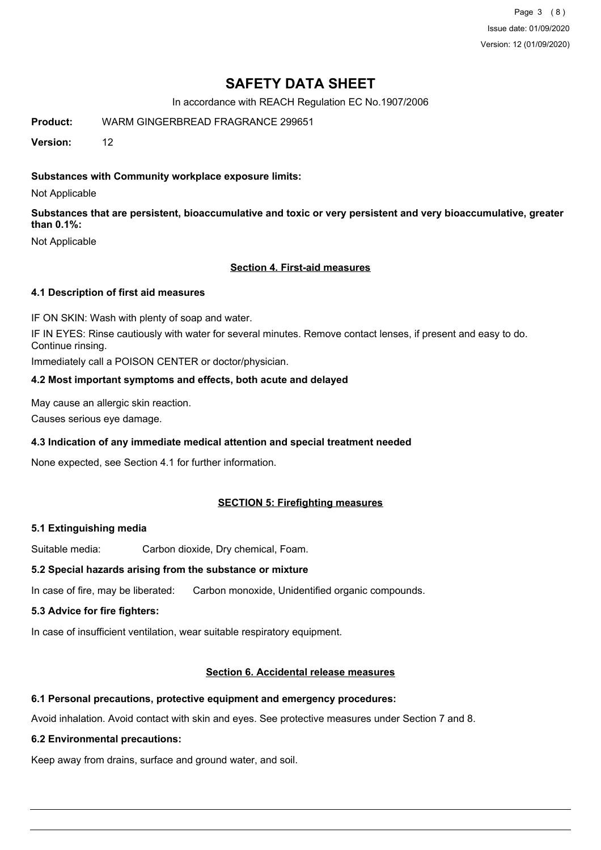Page 3 (8) Issue date: 01/09/2020 Version: 12 (01/09/2020)

# **SAFETY DATA SHEET**

In accordance with REACH Regulation EC No.1907/2006

**Product:** WARM GINGERBREAD FRAGRANCE 299651

**Version:** 12

#### **Substances with Community workplace exposure limits:**

Not Applicable

**Substances that are persistent, bioaccumulative and toxic or very persistent and very bioaccumulative, greater than 0.1%:**

Not Applicable

#### **Section 4. First-aid measures**

#### **4.1 Description of first aid measures**

IF ON SKIN: Wash with plenty of soap and water.

IF IN EYES: Rinse cautiously with water for several minutes. Remove contact lenses, if present and easy to do. Continue rinsing.

Immediately call a POISON CENTER or doctor/physician.

#### **4.2 Most important symptoms and effects, both acute and delayed**

May cause an allergic skin reaction.

Causes serious eye damage.

#### **4.3 Indication of any immediate medical attention and special treatment needed**

None expected, see Section 4.1 for further information.

#### **SECTION 5: Firefighting measures**

#### **5.1 Extinguishing media**

Suitable media: Carbon dioxide, Dry chemical, Foam.

#### **5.2 Special hazards arising from the substance or mixture**

In case of fire, may be liberated: Carbon monoxide, Unidentified organic compounds.

#### **5.3 Advice for fire fighters:**

In case of insufficient ventilation, wear suitable respiratory equipment.

#### **Section 6. Accidental release measures**

#### **6.1 Personal precautions, protective equipment and emergency procedures:**

Avoid inhalation. Avoid contact with skin and eyes. See protective measures under Section 7 and 8.

#### **6.2 Environmental precautions:**

Keep away from drains, surface and ground water, and soil.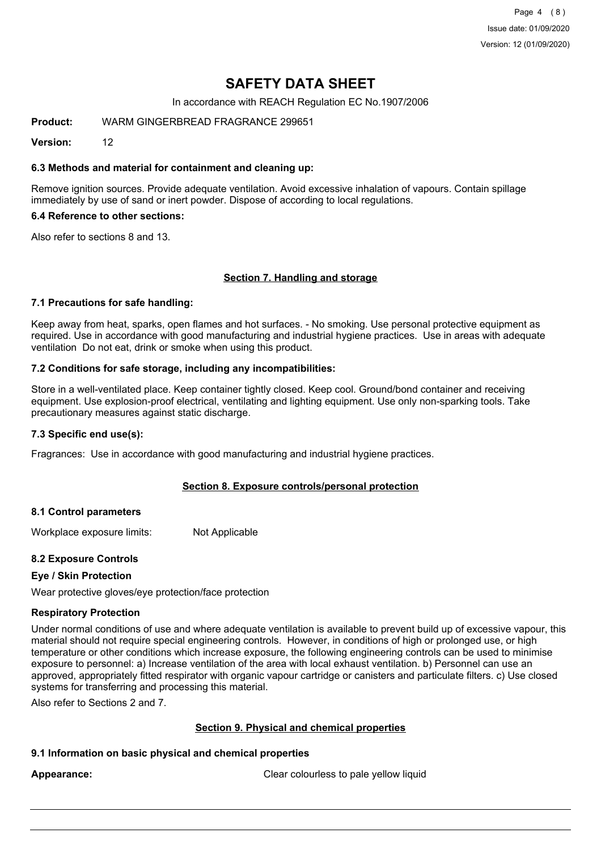Page 4 (8) Issue date: 01/09/2020 Version: 12 (01/09/2020)

# **SAFETY DATA SHEET**

In accordance with REACH Regulation EC No.1907/2006

**Product:** WARM GINGERBREAD FRAGRANCE 299651

**Version:** 12

#### **6.3 Methods and material for containment and cleaning up:**

Remove ignition sources. Provide adequate ventilation. Avoid excessive inhalation of vapours. Contain spillage immediately by use of sand or inert powder. Dispose of according to local regulations.

#### **6.4 Reference to other sections:**

Also refer to sections 8 and 13.

### **Section 7. Handling and storage**

#### **7.1 Precautions for safe handling:**

Keep away from heat, sparks, open flames and hot surfaces. - No smoking. Use personal protective equipment as required. Use in accordance with good manufacturing and industrial hygiene practices. Use in areas with adequate ventilation Do not eat, drink or smoke when using this product.

#### **7.2 Conditions for safe storage, including any incompatibilities:**

Store in a well-ventilated place. Keep container tightly closed. Keep cool. Ground/bond container and receiving equipment. Use explosion-proof electrical, ventilating and lighting equipment. Use only non-sparking tools. Take precautionary measures against static discharge.

#### **7.3 Specific end use(s):**

Fragrances: Use in accordance with good manufacturing and industrial hygiene practices.

#### **Section 8. Exposure controls/personal protection**

#### **8.1 Control parameters**

Workplace exposure limits: Not Applicable

#### **8.2 Exposure Controls**

#### **Eye / Skin Protection**

Wear protective gloves/eye protection/face protection

#### **Respiratory Protection**

Under normal conditions of use and where adequate ventilation is available to prevent build up of excessive vapour, this material should not require special engineering controls. However, in conditions of high or prolonged use, or high temperature or other conditions which increase exposure, the following engineering controls can be used to minimise exposure to personnel: a) Increase ventilation of the area with local exhaust ventilation. b) Personnel can use an approved, appropriately fitted respirator with organic vapour cartridge or canisters and particulate filters. c) Use closed systems for transferring and processing this material.

Also refer to Sections 2 and 7.

#### **Section 9. Physical and chemical properties**

#### **9.1 Information on basic physical and chemical properties**

**Appearance:** Clear colourless to pale yellow liquid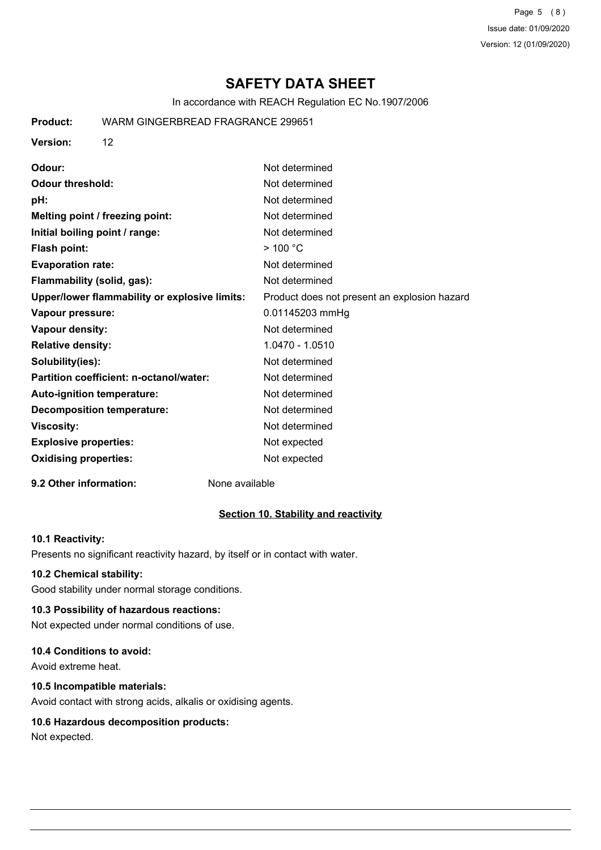Page 5 (8) Issue date: 01/09/2020 Version: 12 (01/09/2020)

# **SAFETY DATA SHEET**

In accordance with REACH Regulation EC No.1907/2006

| <b>Product:</b>              | WARM GINGERBREAD FRAGRANCE 299651             |                                              |
|------------------------------|-----------------------------------------------|----------------------------------------------|
| <b>Version:</b>              | 12                                            |                                              |
| Odour:                       |                                               | Not determined                               |
| <b>Odour threshold:</b>      |                                               | Not determined                               |
| pH:                          |                                               | Not determined                               |
|                              | Melting point / freezing point:               | Not determined                               |
|                              | Initial boiling point / range:                | Not determined                               |
| Flash point:                 |                                               | $>$ 100 °C                                   |
| <b>Evaporation rate:</b>     |                                               | Not determined                               |
|                              | Flammability (solid, gas):                    | Not determined                               |
|                              | Upper/lower flammability or explosive limits: | Product does not present an explosion hazard |
| Vapour pressure:             |                                               | 0.01145203 mmHg                              |
| Vapour density:              |                                               | Not determined                               |
| <b>Relative density:</b>     |                                               | 1.0470 - 1.0510                              |
| Solubility(ies):             |                                               | Not determined                               |
|                              | Partition coefficient: n-octanol/water:       | Not determined                               |
|                              | Auto-ignition temperature:                    | Not determined                               |
|                              | <b>Decomposition temperature:</b>             | Not determined                               |
| <b>Viscosity:</b>            |                                               | Not determined                               |
| <b>Explosive properties:</b> |                                               | Not expected                                 |
| <b>Oxidising properties:</b> |                                               | Not expected                                 |
|                              |                                               |                                              |

#### **9.2 Other information:** None available

#### **Section 10. Stability and reactivity**

#### **10.1 Reactivity:**

Presents no significant reactivity hazard, by itself or in contact with water.

#### **10.2 Chemical stability:**

Good stability under normal storage conditions.

# **10.3 Possibility of hazardous reactions:**

Not expected under normal conditions of use.

### **10.4 Conditions to avoid:**

Avoid extreme heat.

# **10.5 Incompatible materials:**

Avoid contact with strong acids, alkalis or oxidising agents.

# **10.6 Hazardous decomposition products:**

Not expected.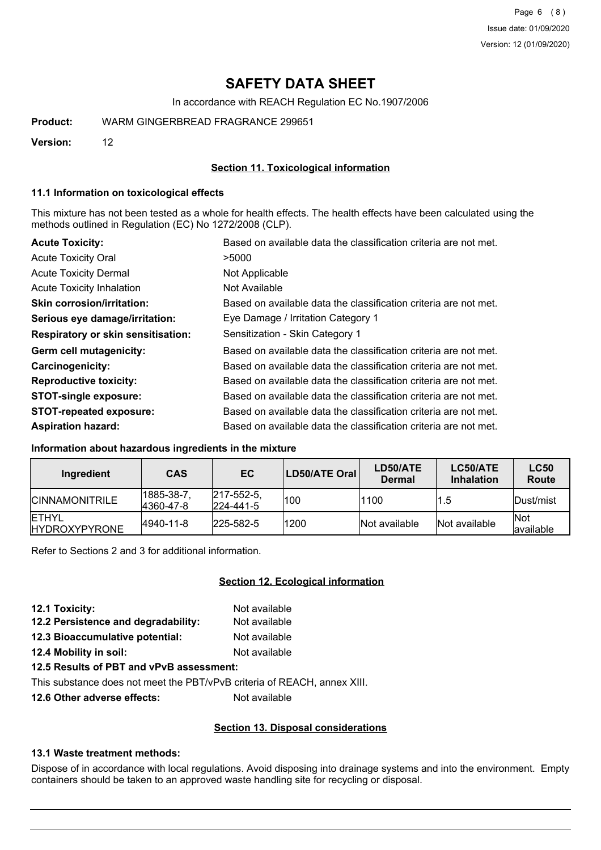# **SAFETY DATA SHEET**

In accordance with REACH Regulation EC No.1907/2006

**Product:** WARM GINGERBREAD FRAGRANCE 299651

**Version:** 12

#### **Section 11. Toxicological information**

#### **11.1 Information on toxicological effects**

This mixture has not been tested as a whole for health effects. The health effects have been calculated using the methods outlined in Regulation (EC) No 1272/2008 (CLP).

| <b>Acute Toxicity:</b>                    | Based on available data the classification criteria are not met. |
|-------------------------------------------|------------------------------------------------------------------|
| <b>Acute Toxicity Oral</b>                | >5000                                                            |
| <b>Acute Toxicity Dermal</b>              | Not Applicable                                                   |
| <b>Acute Toxicity Inhalation</b>          | Not Available                                                    |
| <b>Skin corrosion/irritation:</b>         | Based on available data the classification criteria are not met. |
| Serious eye damage/irritation:            | Eye Damage / Irritation Category 1                               |
| <b>Respiratory or skin sensitisation:</b> | Sensitization - Skin Category 1                                  |
| Germ cell mutagenicity:                   | Based on available data the classification criteria are not met. |
| Carcinogenicity:                          | Based on available data the classification criteria are not met. |
| <b>Reproductive toxicity:</b>             | Based on available data the classification criteria are not met. |
| <b>STOT-single exposure:</b>              | Based on available data the classification criteria are not met. |
| <b>STOT-repeated exposure:</b>            | Based on available data the classification criteria are not met. |
| <b>Aspiration hazard:</b>                 | Based on available data the classification criteria are not met. |

#### **Information about hazardous ingredients in the mixture**

| Ingredient                             | <b>CAS</b>             | <b>EC</b>                              | LD50/ATE Oral | LD50/ATE<br><b>Dermal</b> | LC50/ATE<br><b>Inhalation</b> | <b>LC50</b><br>Route    |
|----------------------------------------|------------------------|----------------------------------------|---------------|---------------------------|-------------------------------|-------------------------|
| <b>ICINNAMONITRILE</b>                 | 1885-38-7<br>4360-47-8 | $ 217 - 552 - 5 $<br>$ 224 - 441 - 5 $ | 100           | 1100                      | 1.5                           | Dust/mist               |
| <b>IETHYL</b><br><b>IHYDROXYPYRONE</b> | 4940-11-8              | $ 225 - 582 - 5 $                      | 1200          | Not available             | Not available                 | <b>Not</b><br>available |

Refer to Sections 2 and 3 for additional information.

### **Section 12. Ecological information**

| 12.1 Toxicity:                      | Not available |
|-------------------------------------|---------------|
| 12.2 Persistence and degradability: | Not available |
| 12.3 Bioaccumulative potential:     | Not available |
| 12.4 Mobility in soil:              | Not available |

# **12.5 Results of PBT and vPvB assessment:**

This substance does not meet the PBT/vPvB criteria of REACH, annex XIII.

**12.6 Other adverse effects:** Not available

#### **Section 13. Disposal considerations**

#### **13.1 Waste treatment methods:**

Dispose of in accordance with local regulations. Avoid disposing into drainage systems and into the environment. Empty containers should be taken to an approved waste handling site for recycling or disposal.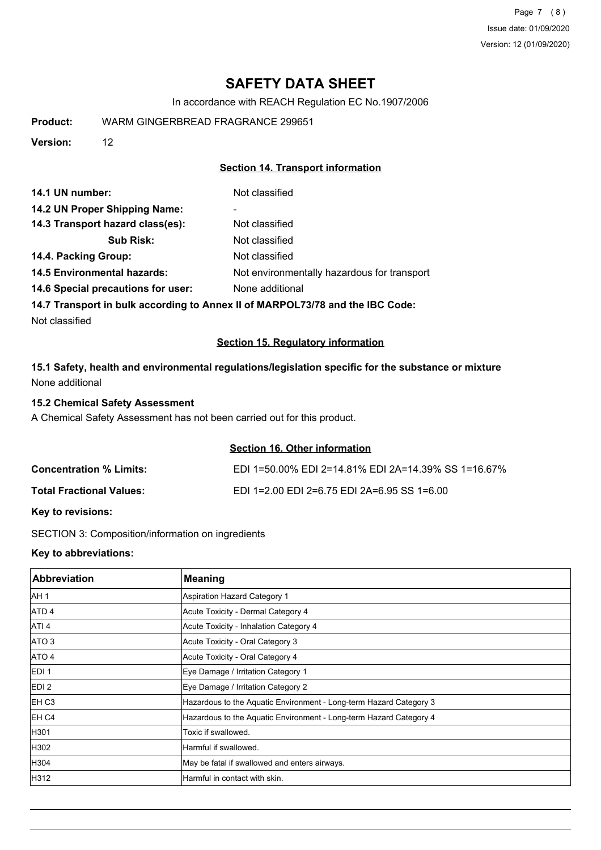Page 7 (8) Issue date: 01/09/2020 Version: 12 (01/09/2020)

# **SAFETY DATA SHEET**

In accordance with REACH Regulation EC No.1907/2006

**Product:** WARM GINGERBREAD FRAGRANCE 299651

**Version:** 12

# **Section 14. Transport information**

| Not classified                              |
|---------------------------------------------|
| $\overline{\phantom{a}}$                    |
| Not classified                              |
| Not classified                              |
| Not classified                              |
| Not environmentally hazardous for transport |
| None additional                             |
|                                             |

**14.7 Transport in bulk according to Annex II of MARPOL73/78 and the IBC Code:**

Not classified

### **Section 15. Regulatory information**

**15.1 Safety, health and environmental regulations/legislation specific for the substance or mixture** None additional

### **15.2 Chemical Safety Assessment**

A Chemical Safety Assessment has not been carried out for this product.

### **Section 16. Other information**

| <b>Concentration % Limits:</b>  | EDI 1=50.00% EDI 2=14.81% EDI 2A=14.39% SS 1=16.67% |
|---------------------------------|-----------------------------------------------------|
| <b>Total Fractional Values:</b> | EDI 1=2.00 EDI 2=6.75 EDI 2A=6.95 SS 1=6.00         |

#### **Key to revisions:**

SECTION 3: Composition/information on ingredients

### **Key to abbreviations:**

| <b>Abbreviation</b> | Meaning                                                            |
|---------------------|--------------------------------------------------------------------|
| AH <sub>1</sub>     | Aspiration Hazard Category 1                                       |
| ATD <sub>4</sub>    | Acute Toxicity - Dermal Category 4                                 |
| ATI <sub>4</sub>    | Acute Toxicity - Inhalation Category 4                             |
| ATO <sub>3</sub>    | Acute Toxicity - Oral Category 3                                   |
| ATO 4               | Acute Toxicity - Oral Category 4                                   |
| EDI <sub>1</sub>    | Eye Damage / Irritation Category 1                                 |
| EDI <sub>2</sub>    | Eye Damage / Irritation Category 2                                 |
| EH <sub>C3</sub>    | Hazardous to the Aquatic Environment - Long-term Hazard Category 3 |
| EH C4               | Hazardous to the Aquatic Environment - Long-term Hazard Category 4 |
| H301                | Toxic if swallowed.                                                |
| H302                | Harmful if swallowed.                                              |
| H304                | May be fatal if swallowed and enters airways.                      |
| H312                | Harmful in contact with skin.                                      |